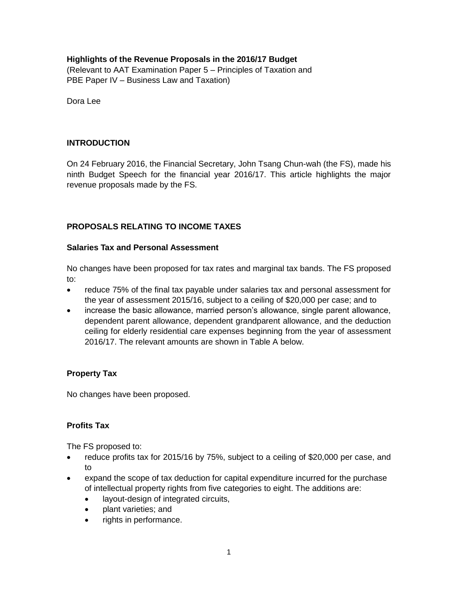# **Highlights of the Revenue Proposals in the 2016/17 Budget**

(Relevant to AAT Examination Paper 5 – Principles of Taxation and PBE Paper IV – Business Law and Taxation)

Dora Lee

## **INTRODUCTION**

On 24 February 2016, the Financial Secretary, John Tsang Chun-wah (the FS), made his ninth Budget Speech for the financial year 2016/17. This article highlights the major revenue proposals made by the FS.

# **PROPOSALS RELATING TO INCOME TAXES**

#### **Salaries Tax and Personal Assessment**

No changes have been proposed for tax rates and marginal tax bands. The FS proposed to:

- reduce 75% of the final tax payable under salaries tax and personal assessment for the year of assessment 2015/16, subject to a ceiling of \$20,000 per case; and to
- increase the basic allowance, married person's allowance, single parent allowance, dependent parent allowance, dependent grandparent allowance, and the deduction ceiling for elderly residential care expenses beginning from the year of assessment 2016/17. The relevant amounts are shown in Table A below.

## **Property Tax**

No changes have been proposed.

## **Profits Tax**

The FS proposed to:

- reduce profits tax for 2015/16 by 75%, subject to a ceiling of \$20,000 per case, and to
- expand the scope of tax deduction for capital expenditure incurred for the purchase of intellectual property rights from five categories to eight. The additions are:
	- layout-design of integrated circuits,
	- plant varieties; and
	- rights in performance.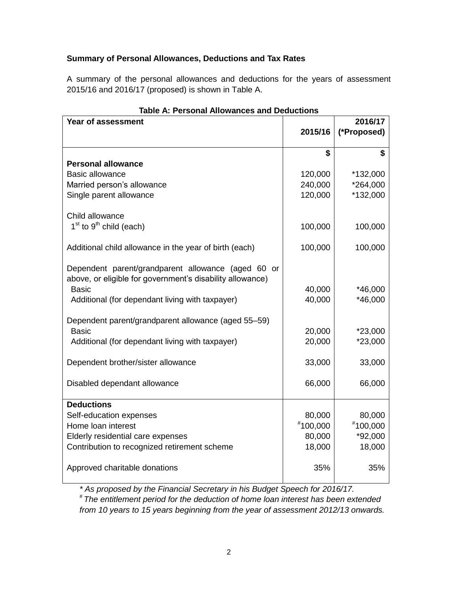# **Summary of Personal Allowances, Deductions and Tax Rates**

A summary of the personal allowances and deductions for the years of assessment 2015/16 and 2016/17 (proposed) is shown in Table A.

| Year of assessment                                        | 2016/17  |             |
|-----------------------------------------------------------|----------|-------------|
|                                                           | 2015/16  | (*Proposed) |
|                                                           |          |             |
|                                                           | \$       |             |
| <b>Personal allowance</b>                                 |          |             |
| <b>Basic allowance</b>                                    | 120,000  | *132,000    |
| Married person's allowance                                | 240,000  | *264,000    |
| Single parent allowance                                   | 120,000  | *132,000    |
| Child allowance                                           |          |             |
| $1st$ to $9th$ child (each)                               | 100,000  | 100,000     |
| Additional child allowance in the year of birth (each)    | 100,000  | 100,000     |
| Dependent parent/grandparent allowance (aged 60 or        |          |             |
| above, or eligible for government's disability allowance) |          |             |
| <b>Basic</b>                                              | 40,000   | *46,000     |
| Additional (for dependant living with taxpayer)           | 40,000   | *46,000     |
| Dependent parent/grandparent allowance (aged 55-59)       |          |             |
| <b>Basic</b>                                              | 20,000   | $*23,000$   |
| Additional (for dependant living with taxpayer)           | 20,000   | *23,000     |
| Dependent brother/sister allowance                        | 33,000   | 33,000      |
| Disabled dependant allowance                              | 66,000   | 66,000      |
|                                                           |          |             |
| <b>Deductions</b>                                         |          |             |
| Self-education expenses                                   | 80,000   | 80,000      |
| Home loan interest                                        | #100,000 | #100,000    |
| Elderly residential care expenses                         | 80,000   | *92,000     |
| Contribution to recognized retirement scheme              | 18,000   | 18,000      |
| Approved charitable donations                             | 35%      | 35%         |
|                                                           |          |             |

*\* As proposed by the Financial Secretary in his Budget Speech for 2016/17.*

*# The entitlement period for the deduction of home loan interest has been extended from 10 years to 15 years beginning from the year of assessment 2012/13 onwards.*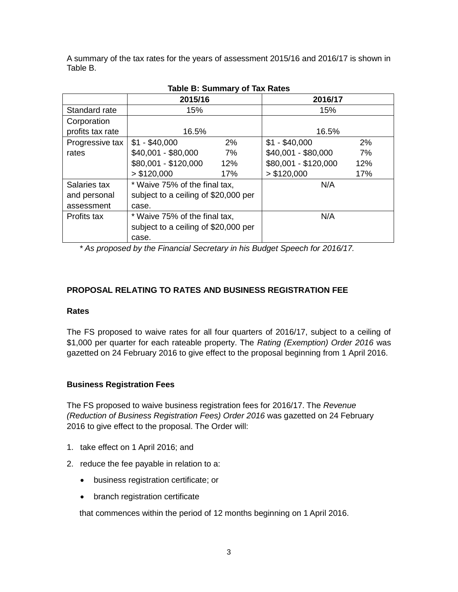A summary of the tax rates for the years of assessment 2015/16 and 2016/17 is shown in Table B.

| 1991 - 2011 - 1991 - 1992 - 1994 - 1994 - 1995 - 1995 - 1996 - 1997 - 1998 - 1999 - 1999 - 1999 - 19 |                                      |     |                      |     |  |  |
|------------------------------------------------------------------------------------------------------|--------------------------------------|-----|----------------------|-----|--|--|
|                                                                                                      | 2015/16                              |     | 2016/17              |     |  |  |
| Standard rate                                                                                        | 15%                                  |     | 15%                  |     |  |  |
| Corporation                                                                                          |                                      |     |                      |     |  |  |
| profits tax rate                                                                                     | 16.5%                                |     | 16.5%                |     |  |  |
| Progressive tax                                                                                      | $$1 - $40,000$                       | 2%  | $$1 - $40,000$       | 2%  |  |  |
| rates                                                                                                | \$40,001 - \$80,000                  | 7%  | \$40,001 - \$80,000  | 7%  |  |  |
|                                                                                                      | \$80,001 - \$120,000                 | 12% | \$80,001 - \$120,000 | 12% |  |  |
|                                                                                                      | > \$120,000                          | 17% | > \$120,000          | 17% |  |  |
| Salaries tax                                                                                         | * Waive 75% of the final tax,        |     | N/A                  |     |  |  |
| and personal                                                                                         | subject to a ceiling of \$20,000 per |     |                      |     |  |  |
| assessment                                                                                           | case.                                |     |                      |     |  |  |
| Profits tax                                                                                          | * Waive 75% of the final tax,        |     | N/A                  |     |  |  |
|                                                                                                      | subject to a ceiling of \$20,000 per |     |                      |     |  |  |
|                                                                                                      | case.                                |     |                      |     |  |  |

# **Table B: Summary of Tax Rates**

*\* As proposed by the Financial Secretary in his Budget Speech for 2016/17.*

## **PROPOSAL RELATING TO RATES AND BUSINESS REGISTRATION FEE**

#### **Rates**

The FS proposed to waive rates for all four quarters of 2016/17, subject to a ceiling of \$1,000 per quarter for each rateable property. The *Rating (Exemption) Order 2016* was gazetted on 24 February 2016 to give effect to the proposal beginning from 1 April 2016.

## **Business Registration Fees**

The FS proposed to waive business registration fees for 2016/17. The *Revenue (Reduction of Business Registration Fees) Order 2016* was gazetted on 24 February 2016 to give effect to the proposal. The Order will:

- 1. take effect on 1 April 2016; and
- 2. reduce the fee payable in relation to a:
	- business registration certificate; or
	- branch registration certificate

that commences within the period of 12 months beginning on 1 April 2016.